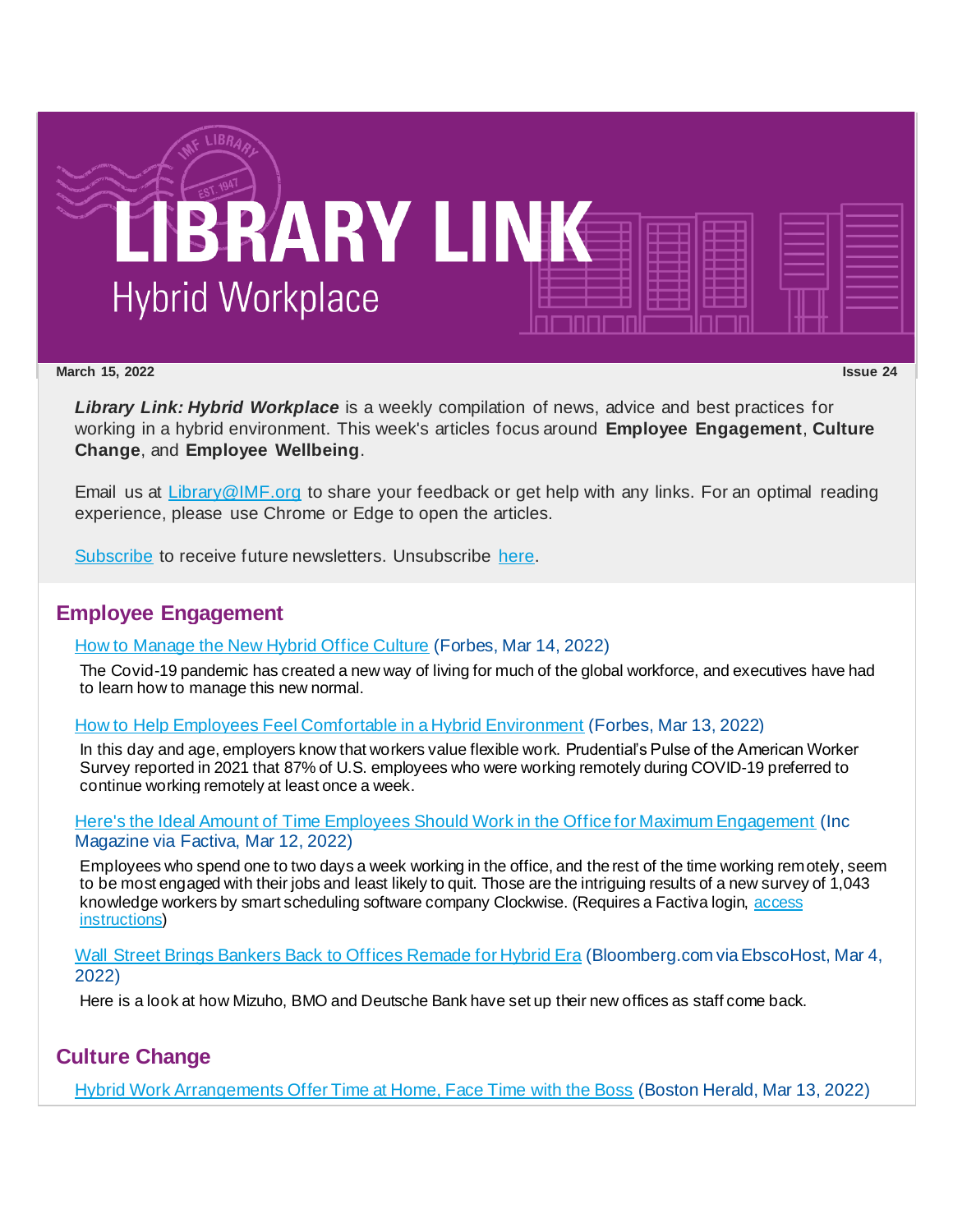

#### **March 15, 2022 Issue 24**

*Library Link: Hybrid Workplace* is a weekly compilation of news, advice and best practices for working in a hybrid environment. This week's articles focus around **Employee Engagement**, **Culture Change**, and **Employee Wellbeing**.

Email us at [Library@IMF.org](mailto:Library@IMF.org) to share your feedback or get help with any links. For an optimal reading experience, please use Chrome or Edge to open the articles.

[Subscribe](http://t.imfconnect.imf.org/r/?id=h71832c,3455a59,3456979&e=cDE9JTQwWlh6QTFOamNwZDAwZ0VMeWh4eHFuUUNwYVZvaWluOThSd0RMeUlhS3JsZmhVVi1UeXBhWjR5a0l2dXBhZ3NOUXVqa1lFcERYa3p4eWd1WHBvdWZ5eXRfU2o0cw&s=hYvpkPDfMw2Gwj49RXvxU3JULgbB1CE-6GbkDHKWaRI) to receive future newsletters. Unsubscribe [here.](http://t.imfconnect.imf.org/r/?id=h71832c,3455a59,345697a&e=cDE9JTQwWlh6QTFOamNwZDAwZ0VMeWh4eHFuUUNwYVZvaWluOThSd0RMeUlhS3JsZmhVVi1UeXBhWjR5a0l2dXBhZ3NOUXVqa1lFcERYa3p4eWd1WHBvdWZ5eXRfU2o0cw&s=Q3giKUi7jJW2yX-9EBhT2Y2d7IFo6qbmOI2P2_VDXPY)

## **Employee Engagement**

### [How to Manage the New Hybrid Office Culture](http://t.imfconnect.imf.org/r/?id=h71832c,3455a59,345697b) (Forbes, Mar 14, 2022)

The Covid-19 pandemic has created a new way of living for much of the global workforce, and executives have had to learn how to manage this new normal.

[How to Help Employees Feel Comfortable in a Hybrid Environment](http://t.imfconnect.imf.org/r/?id=h71832c,3455a59,345697c) (Forbes, Mar 13, 2022)

In this day and age, employers know that workers value flexible work. Prudential's Pulse of the American Worker Survey reported in 2021 that 87% of U.S. employees who were working remotely during COVID-19 preferred to continue working remotely at least once a week.

#### [Here's the Ideal Amount of Time Employees Should Work in the Office for Maximum Engagement](http://t.imfconnect.imf.org/r/?id=h71832c,3455a59,345697d) (Inc Magazine via Factiva, Mar 12, 2022)

Employees who spend one to two days a week working in the office, and the rest of the time working remotely, seem to be most engaged with their jobs and least likely to quit. Those are the intriguing results of a new survey of 1,043 knowledge workers by smart scheduling software company Clockwise. (Requires a Factiva login, [access](http://t.imfconnect.imf.org/r/?id=h71832c,3455a59,345697e)  [instructions](http://t.imfconnect.imf.org/r/?id=h71832c,3455a59,345697e))

[Wall Street Brings Bankers Back to Offices Remade for Hybrid Era](http://t.imfconnect.imf.org/r/?id=h71832c,3455a59,345697f) (Bloomberg.com via EbscoHost, Mar 4, 2022)

Here is a look at how Mizuho, BMO and Deutsche Bank have set up their new offices as staff come back.

# **Culture Change**

[Hybrid Work Arrangements Offer Time at Home, Face Time with the Boss](http://t.imfconnect.imf.org/r/?id=h71832c,3455a59,3456980) (Boston Herald, Mar 13, 2022)